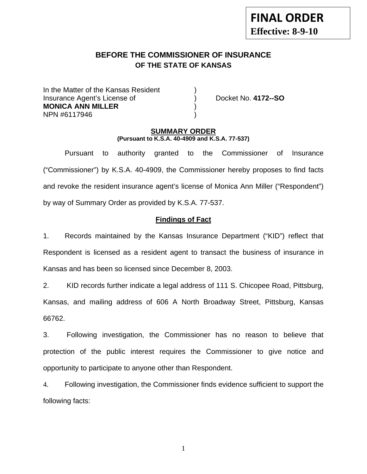# **BEFORE THE COMMISSIONER OF INSURANCE OF THE STATE OF KANSAS**

In the Matter of the Kansas Resident Insurance Agent's License of ) Docket No. **4172--SO MONICA ANN MILLER** ) NPN #6117946 )

#### **SUMMARY ORDER (Pursuant to K.S.A. 40-4909 and K.S.A. 77-537)**

 Pursuant to authority granted to the Commissioner of Insurance ("Commissioner") by K.S.A. 40-4909, the Commissioner hereby proposes to find facts and revoke the resident insurance agent's license of Monica Ann Miller ("Respondent") by way of Summary Order as provided by K.S.A. 77-537.

## **Findings of Fact**

1. Records maintained by the Kansas Insurance Department ("KID") reflect that Respondent is licensed as a resident agent to transact the business of insurance in Kansas and has been so licensed since December 8, 2003.

2. KID records further indicate a legal address of 111 S. Chicopee Road, Pittsburg, Kansas, and mailing address of 606 A North Broadway Street, Pittsburg, Kansas 66762.

3. Following investigation, the Commissioner has no reason to believe that protection of the public interest requires the Commissioner to give notice and opportunity to participate to anyone other than Respondent.

4. Following investigation, the Commissioner finds evidence sufficient to support the following facts:

1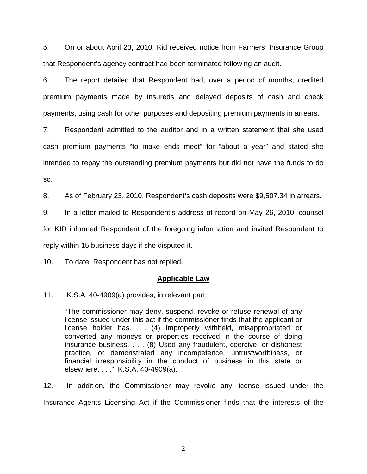5. On or about April 23, 2010, Kid received notice from Farmers' Insurance Group that Respondent's agency contract had been terminated following an audit.

6. The report detailed that Respondent had, over a period of months, credited premium payments made by insureds and delayed deposits of cash and check payments, using cash for other purposes and depositing premium payments in arrears.

7. Respondent admitted to the auditor and in a written statement that she used cash premium payments "to make ends meet" for "about a year" and stated she intended to repay the outstanding premium payments but did not have the funds to do so.

8. As of February 23, 2010, Respondent's cash deposits were \$9,507.34 in arrears.

9. In a letter mailed to Respondent's address of record on May 26, 2010, counsel

for KID informed Respondent of the foregoing information and invited Respondent to

reply within 15 business days if she disputed it.

10. To date, Respondent has not replied.

## **Applicable Law**

11. K.S.A. 40-4909(a) provides, in relevant part:

"The commissioner may deny, suspend, revoke or refuse renewal of any license issued under this act if the commissioner finds that the applicant or license holder has. . . (4) Improperly withheld, misappropriated or converted any moneys or properties received in the course of doing insurance business. . . . (8) Used any fraudulent, coercive, or dishonest practice, or demonstrated any incompetence, untrustworthiness, or financial irresponsibility in the conduct of business in this state or elsewhere. . . ." K.S.A. 40-4909(a).

12. In addition, the Commissioner may revoke any license issued under the Insurance Agents Licensing Act if the Commissioner finds that the interests of the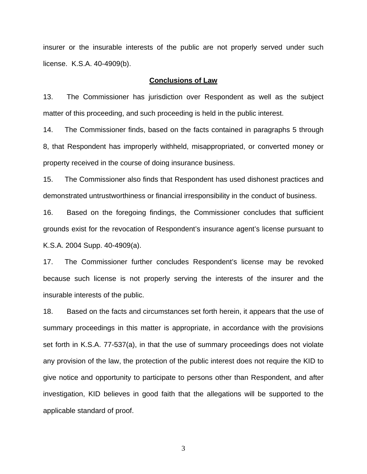insurer or the insurable interests of the public are not properly served under such license. K.S.A. 40-4909(b).

#### **Conclusions of Law**

13. The Commissioner has jurisdiction over Respondent as well as the subject matter of this proceeding, and such proceeding is held in the public interest.

14. The Commissioner finds, based on the facts contained in paragraphs 5 through 8, that Respondent has improperly withheld, misappropriated, or converted money or property received in the course of doing insurance business.

15. The Commissioner also finds that Respondent has used dishonest practices and demonstrated untrustworthiness or financial irresponsibility in the conduct of business.

16. Based on the foregoing findings, the Commissioner concludes that sufficient grounds exist for the revocation of Respondent's insurance agent's license pursuant to K.S.A. 2004 Supp. 40-4909(a).

17. The Commissioner further concludes Respondent's license may be revoked because such license is not properly serving the interests of the insurer and the insurable interests of the public.

18. Based on the facts and circumstances set forth herein, it appears that the use of summary proceedings in this matter is appropriate, in accordance with the provisions set forth in K.S.A. 77-537(a), in that the use of summary proceedings does not violate any provision of the law, the protection of the public interest does not require the KID to give notice and opportunity to participate to persons other than Respondent, and after investigation, KID believes in good faith that the allegations will be supported to the applicable standard of proof.

3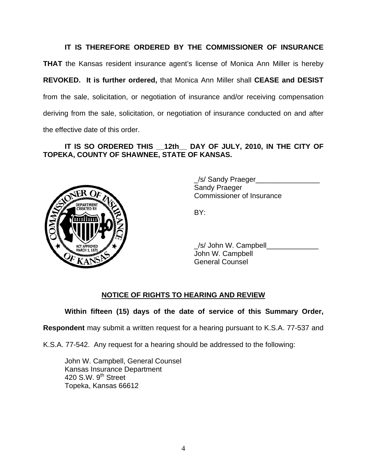## **IT IS THEREFORE ORDERED BY THE COMMISSIONER OF INSURANCE**

**THAT** the Kansas resident insurance agent's license of Monica Ann Miller is hereby **REVOKED. It is further ordered,** that Monica Ann Miller shall **CEASE and DESIST** from the sale, solicitation, or negotiation of insurance and/or receiving compensation deriving from the sale, solicitation, or negotiation of insurance conducted on and after the effective date of this order.

## **IT IS SO ORDERED THIS \_\_12th\_\_ DAY OF JULY, 2010, IN THE CITY OF TOPEKA, COUNTY OF SHAWNEE, STATE OF KANSAS.**



 \_/s/ Sandy Praeger\_\_\_\_\_\_\_\_\_\_\_\_\_\_\_\_ Sandy Praeger Commissioner of Insurance

 \_/s/ John W. Campbell\_\_\_\_\_\_\_\_\_\_\_\_\_ John W. Campbell General Counsel

#### **NOTICE OF RIGHTS TO HEARING AND REVIEW**

**Within fifteen (15) days of the date of service of this Summary Order,** 

**Respondent** may submit a written request for a hearing pursuant to K.S.A. 77-537 and

K.S.A. 77-542. Any request for a hearing should be addressed to the following:

 John W. Campbell, General Counsel Kansas Insurance Department 420 S.W. 9<sup>th</sup> Street Topeka, Kansas 66612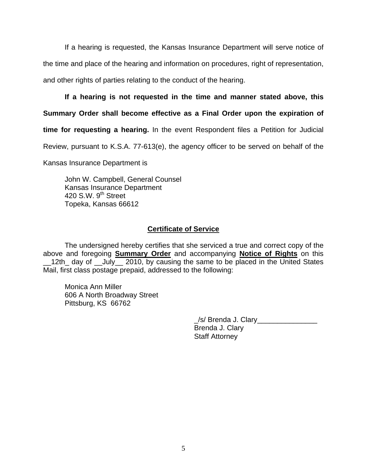If a hearing is requested, the Kansas Insurance Department will serve notice of the time and place of the hearing and information on procedures, right of representation, and other rights of parties relating to the conduct of the hearing.

### **If a hearing is not requested in the time and manner stated above, this**

**Summary Order shall become effective as a Final Order upon the expiration of** 

**time for requesting a hearing.** In the event Respondent files a Petition for Judicial

Review, pursuant to K.S.A. 77-613(e), the agency officer to be served on behalf of the

Kansas Insurance Department is

 John W. Campbell, General Counsel Kansas Insurance Department 420 S.W. 9<sup>th</sup> Street Topeka, Kansas 66612

#### **Certificate of Service**

 The undersigned hereby certifies that she serviced a true and correct copy of the above and foregoing **Summary Order** and accompanying **Notice of Rights** on this \_\_12th\_ day of \_\_July\_\_ 2010, by causing the same to be placed in the United States Mail, first class postage prepaid, addressed to the following:

 Monica Ann Miller 606 A North Broadway Street Pittsburg, KS 66762

| /s/ Brenda J. Clary   |
|-----------------------|
| Brenda J. Clary       |
| <b>Staff Attorney</b> |